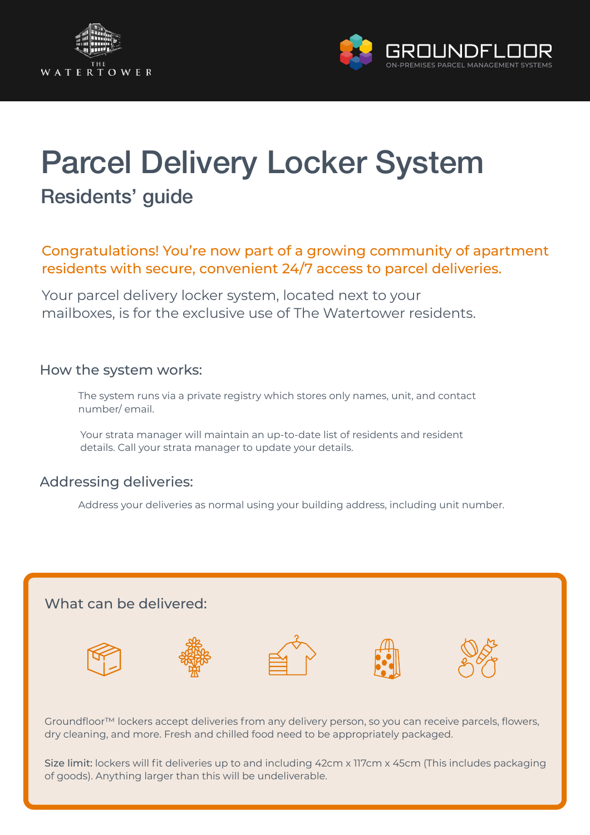



# Parcel Delivery Locker System Residents' guide

## Congratulations! You're now part of a growing community of apartment residents with secure, convenient 24/7 access to parcel deliveries.

Your parcel delivery locker system, located next to your mailboxes, is for the exclusive use of The Watertower residents.

#### How the system works:

The system runs via a private registry which stores only names, unit, and contact number/ email.

Your strata manager will maintain an up-to-date list of residents and resident details. Call your strata manager to update your details.

#### Addressing deliveries:

Address your deliveries as normal using your building address, including unit number.



Groundfloor™ lockers accept deliveries from any delivery person, so you can receive parcels, flowers, dry cleaning, and more. Fresh and chilled food need to be appropriately packaged.

Size limit: lockers will fit deliveries up to and including 42cm x 117cm x 45cm (This includes packaging of goods). Anything larger than this will be undeliverable.